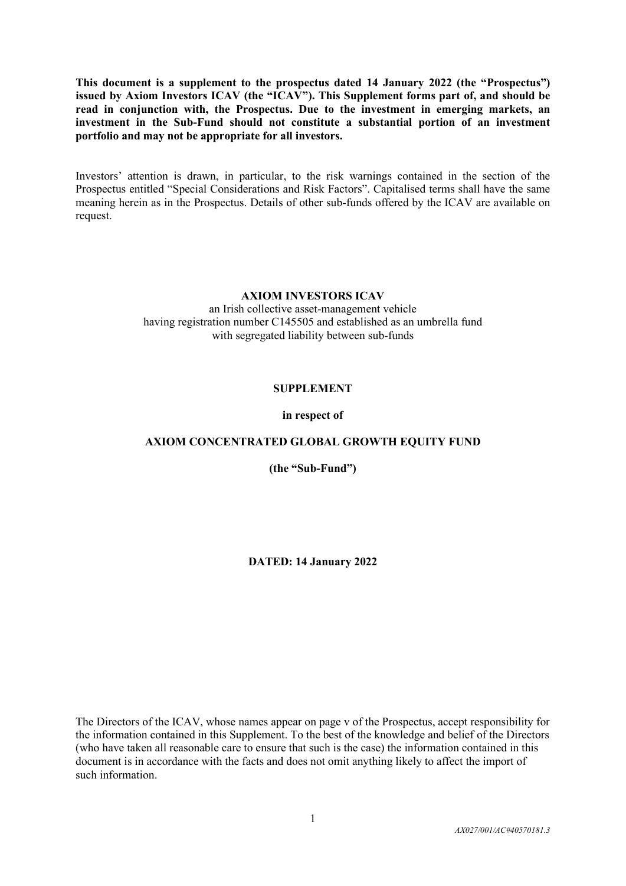**This document is a supplement to the prospectus dated 14 January 2022 (the "Prospectus") issued by Axiom Investors ICAV (the "ICAV"). This Supplement forms part of, and should be read in conjunction with, the Prospectus. Due to the investment in emerging markets, an investment in the Sub-Fund should not constitute a substantial portion of an investment portfolio and may not be appropriate for all investors.**

Investors' attention is drawn, in particular, to the risk warnings contained in the section of the Prospectus entitled "Special Considerations and Risk Factors". Capitalised terms shall have the same meaning herein as in the Prospectus. Details of other sub-funds offered by the ICAV are available on request.

#### **AXIOM INVESTORS ICAV**

an Irish collective asset-management vehicle having registration number C145505 and established as an umbrella fund with segregated liability between sub-funds

#### **SUPPLEMENT**

#### **in respect of**

#### **AXIOM CONCENTRATED GLOBAL GROWTH EQUITY FUND**

**(the "Sub-Fund")**

**DATED: 14 January 2022**

The Directors of the ICAV, whose names appear on page v of the Prospectus, accept responsibility for the information contained in this Supplement. To the best of the knowledge and belief of the Directors (who have taken all reasonable care to ensure that such is the case) the information contained in this document is in accordance with the facts and does not omit anything likely to affect the import of such information.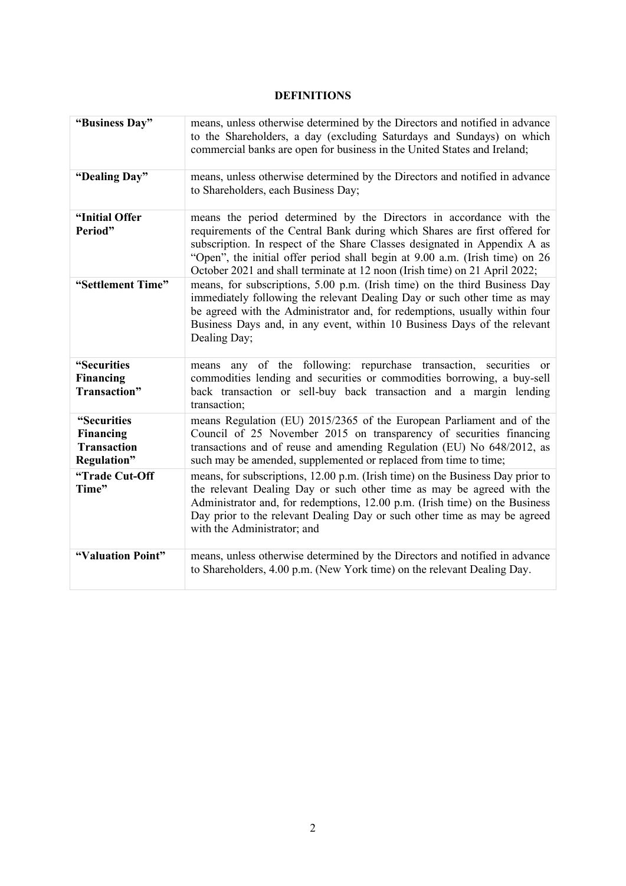## **DEFINITIONS**

| "Business Day"                                                | means, unless otherwise determined by the Directors and notified in advance<br>to the Shareholders, a day (excluding Saturdays and Sundays) on which<br>commercial banks are open for business in the United States and Ireland;                                                                                                                                                             |  |  |  |  |
|---------------------------------------------------------------|----------------------------------------------------------------------------------------------------------------------------------------------------------------------------------------------------------------------------------------------------------------------------------------------------------------------------------------------------------------------------------------------|--|--|--|--|
| "Dealing Day"                                                 | means, unless otherwise determined by the Directors and notified in advance<br>to Shareholders, each Business Day;                                                                                                                                                                                                                                                                           |  |  |  |  |
| "Initial Offer<br>Period"                                     | means the period determined by the Directors in accordance with the<br>requirements of the Central Bank during which Shares are first offered for<br>subscription. In respect of the Share Classes designated in Appendix A as<br>"Open", the initial offer period shall begin at 9.00 a.m. (Irish time) on 26<br>October 2021 and shall terminate at 12 noon (Irish time) on 21 April 2022; |  |  |  |  |
| "Settlement Time"                                             | means, for subscriptions, 5.00 p.m. (Irish time) on the third Business Day<br>immediately following the relevant Dealing Day or such other time as may<br>be agreed with the Administrator and, for redemptions, usually within four<br>Business Days and, in any event, within 10 Business Days of the relevant<br>Dealing Day;                                                             |  |  |  |  |
| "Securities<br>Financing<br>Transaction"                      | any of the following: repurchase transaction, securities or<br>means<br>commodities lending and securities or commodities borrowing, a buy-sell<br>back transaction or sell-buy back transaction and a margin lending<br>transaction;                                                                                                                                                        |  |  |  |  |
| "Securities<br>Financing<br><b>Transaction</b><br>Regulation" | means Regulation (EU) 2015/2365 of the European Parliament and of the<br>Council of 25 November 2015 on transparency of securities financing<br>transactions and of reuse and amending Regulation (EU) No 648/2012, as<br>such may be amended, supplemented or replaced from time to time;                                                                                                   |  |  |  |  |
| "Trade Cut-Off<br>Time"                                       | means, for subscriptions, 12.00 p.m. (Irish time) on the Business Day prior to<br>the relevant Dealing Day or such other time as may be agreed with the<br>Administrator and, for redemptions, 12.00 p.m. (Irish time) on the Business<br>Day prior to the relevant Dealing Day or such other time as may be agreed<br>with the Administrator; and                                           |  |  |  |  |
| "Valuation Point"                                             | means, unless otherwise determined by the Directors and notified in advance<br>to Shareholders, 4.00 p.m. (New York time) on the relevant Dealing Day.                                                                                                                                                                                                                                       |  |  |  |  |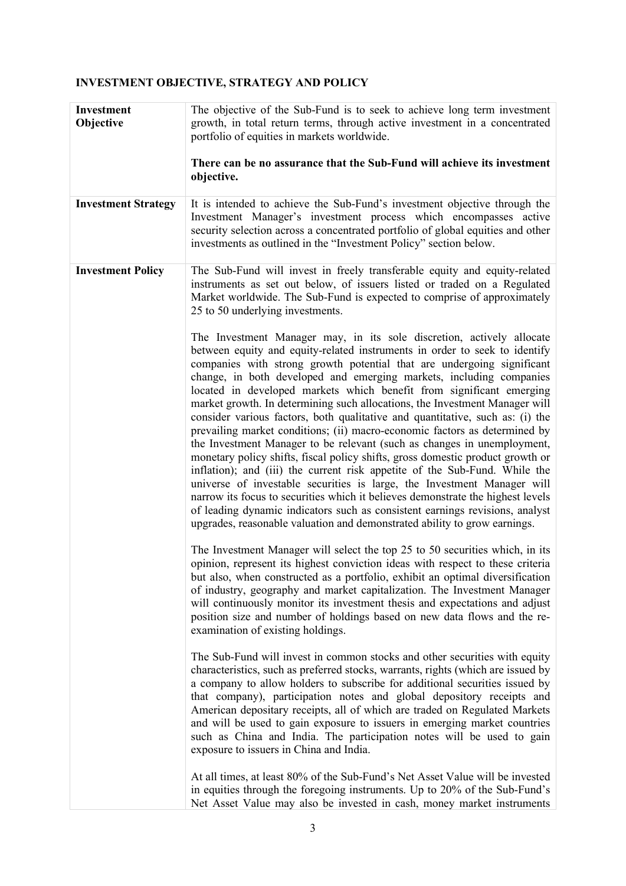# **INVESTMENT OBJECTIVE, STRATEGY AND POLICY**

| Investment<br>Objective    | The objective of the Sub-Fund is to seek to achieve long term investment<br>growth, in total return terms, through active investment in a concentrated<br>portfolio of equities in markets worldwide.                                                                                                                                                                                                                                                                                                                                                                                                                                                                                                                                                                                                                                                                                                                                                                                                                                                                                                                                                                                            |  |  |  |  |
|----------------------------|--------------------------------------------------------------------------------------------------------------------------------------------------------------------------------------------------------------------------------------------------------------------------------------------------------------------------------------------------------------------------------------------------------------------------------------------------------------------------------------------------------------------------------------------------------------------------------------------------------------------------------------------------------------------------------------------------------------------------------------------------------------------------------------------------------------------------------------------------------------------------------------------------------------------------------------------------------------------------------------------------------------------------------------------------------------------------------------------------------------------------------------------------------------------------------------------------|--|--|--|--|
|                            | There can be no assurance that the Sub-Fund will achieve its investment<br>objective.                                                                                                                                                                                                                                                                                                                                                                                                                                                                                                                                                                                                                                                                                                                                                                                                                                                                                                                                                                                                                                                                                                            |  |  |  |  |
| <b>Investment Strategy</b> | It is intended to achieve the Sub-Fund's investment objective through the<br>Investment Manager's investment process which encompasses active<br>security selection across a concentrated portfolio of global equities and other<br>investments as outlined in the "Investment Policy" section below.                                                                                                                                                                                                                                                                                                                                                                                                                                                                                                                                                                                                                                                                                                                                                                                                                                                                                            |  |  |  |  |
| <b>Investment Policy</b>   | The Sub-Fund will invest in freely transferable equity and equity-related<br>instruments as set out below, of issuers listed or traded on a Regulated<br>Market worldwide. The Sub-Fund is expected to comprise of approximately<br>25 to 50 underlying investments.                                                                                                                                                                                                                                                                                                                                                                                                                                                                                                                                                                                                                                                                                                                                                                                                                                                                                                                             |  |  |  |  |
|                            | The Investment Manager may, in its sole discretion, actively allocate<br>between equity and equity-related instruments in order to seek to identify<br>companies with strong growth potential that are undergoing significant<br>change, in both developed and emerging markets, including companies<br>located in developed markets which benefit from significant emerging<br>market growth. In determining such allocations, the Investment Manager will<br>consider various factors, both qualitative and quantitative, such as: (i) the<br>prevailing market conditions; (ii) macro-economic factors as determined by<br>the Investment Manager to be relevant (such as changes in unemployment,<br>monetary policy shifts, fiscal policy shifts, gross domestic product growth or<br>inflation); and (iii) the current risk appetite of the Sub-Fund. While the<br>universe of investable securities is large, the Investment Manager will<br>narrow its focus to securities which it believes demonstrate the highest levels<br>of leading dynamic indicators such as consistent earnings revisions, analyst<br>upgrades, reasonable valuation and demonstrated ability to grow earnings. |  |  |  |  |
|                            | The Investment Manager will select the top 25 to 50 securities which, in its<br>opinion, represent its highest conviction ideas with respect to these criteria<br>but also, when constructed as a portfolio, exhibit an optimal diversification<br>of industry, geography and market capitalization. The Investment Manager<br>will continuously monitor its investment thesis and expectations and adjust<br>position size and number of holdings based on new data flows and the re-<br>examination of existing holdings.                                                                                                                                                                                                                                                                                                                                                                                                                                                                                                                                                                                                                                                                      |  |  |  |  |
|                            | The Sub-Fund will invest in common stocks and other securities with equity<br>characteristics, such as preferred stocks, warrants, rights (which are issued by<br>a company to allow holders to subscribe for additional securities issued by<br>that company), participation notes and global depository receipts and<br>American depositary receipts, all of which are traded on Regulated Markets<br>and will be used to gain exposure to issuers in emerging market countries<br>such as China and India. The participation notes will be used to gain<br>exposure to issuers in China and India.                                                                                                                                                                                                                                                                                                                                                                                                                                                                                                                                                                                            |  |  |  |  |
|                            | At all times, at least 80% of the Sub-Fund's Net Asset Value will be invested<br>in equities through the foregoing instruments. Up to 20% of the Sub-Fund's<br>Net Asset Value may also be invested in cash, money market instruments                                                                                                                                                                                                                                                                                                                                                                                                                                                                                                                                                                                                                                                                                                                                                                                                                                                                                                                                                            |  |  |  |  |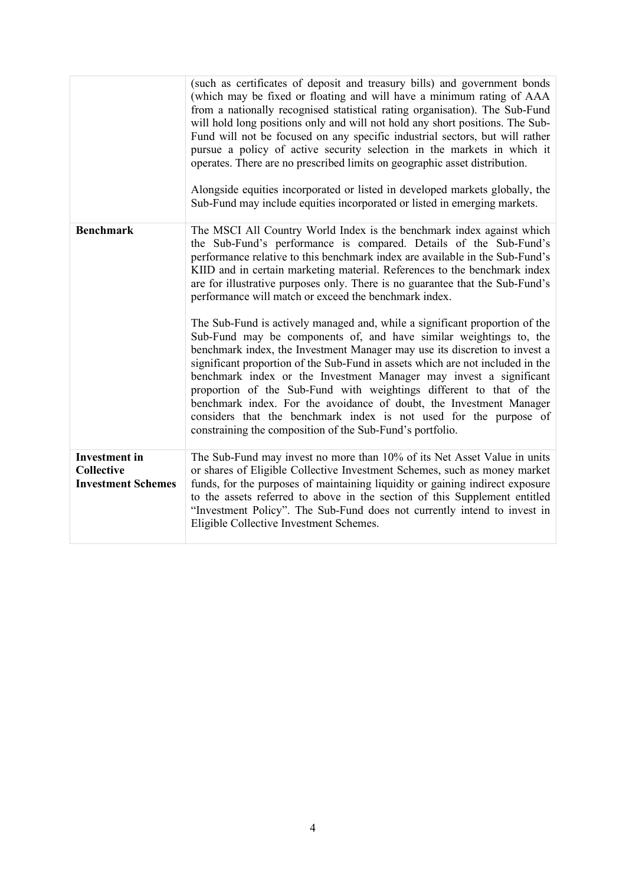|                                                                        | (such as certificates of deposit and treasury bills) and government bonds<br>(which may be fixed or floating and will have a minimum rating of AAA<br>from a nationally recognised statistical rating organisation). The Sub-Fund<br>will hold long positions only and will not hold any short positions. The Sub-<br>Fund will not be focused on any specific industrial sectors, but will rather<br>pursue a policy of active security selection in the markets in which it<br>operates. There are no prescribed limits on geographic asset distribution.<br>Alongside equities incorporated or listed in developed markets globally, the<br>Sub-Fund may include equities incorporated or listed in emerging markets. |  |  |
|------------------------------------------------------------------------|--------------------------------------------------------------------------------------------------------------------------------------------------------------------------------------------------------------------------------------------------------------------------------------------------------------------------------------------------------------------------------------------------------------------------------------------------------------------------------------------------------------------------------------------------------------------------------------------------------------------------------------------------------------------------------------------------------------------------|--|--|
| <b>Benchmark</b>                                                       | The MSCI All Country World Index is the benchmark index against which<br>the Sub-Fund's performance is compared. Details of the Sub-Fund's<br>performance relative to this benchmark index are available in the Sub-Fund's<br>KIID and in certain marketing material. References to the benchmark index<br>are for illustrative purposes only. There is no guarantee that the Sub-Fund's<br>performance will match or exceed the benchmark index.                                                                                                                                                                                                                                                                        |  |  |
|                                                                        | The Sub-Fund is actively managed and, while a significant proportion of the<br>Sub-Fund may be components of, and have similar weightings to, the<br>benchmark index, the Investment Manager may use its discretion to invest a<br>significant proportion of the Sub-Fund in assets which are not included in the<br>benchmark index or the Investment Manager may invest a significant<br>proportion of the Sub-Fund with weightings different to that of the<br>benchmark index. For the avoidance of doubt, the Investment Manager<br>considers that the benchmark index is not used for the purpose of<br>constraining the composition of the Sub-Fund's portfolio.                                                  |  |  |
| <b>Investment</b> in<br><b>Collective</b><br><b>Investment Schemes</b> | The Sub-Fund may invest no more than 10% of its Net Asset Value in units<br>or shares of Eligible Collective Investment Schemes, such as money market<br>funds, for the purposes of maintaining liquidity or gaining indirect exposure<br>to the assets referred to above in the section of this Supplement entitled<br>"Investment Policy". The Sub-Fund does not currently intend to invest in<br>Eligible Collective Investment Schemes.                                                                                                                                                                                                                                                                              |  |  |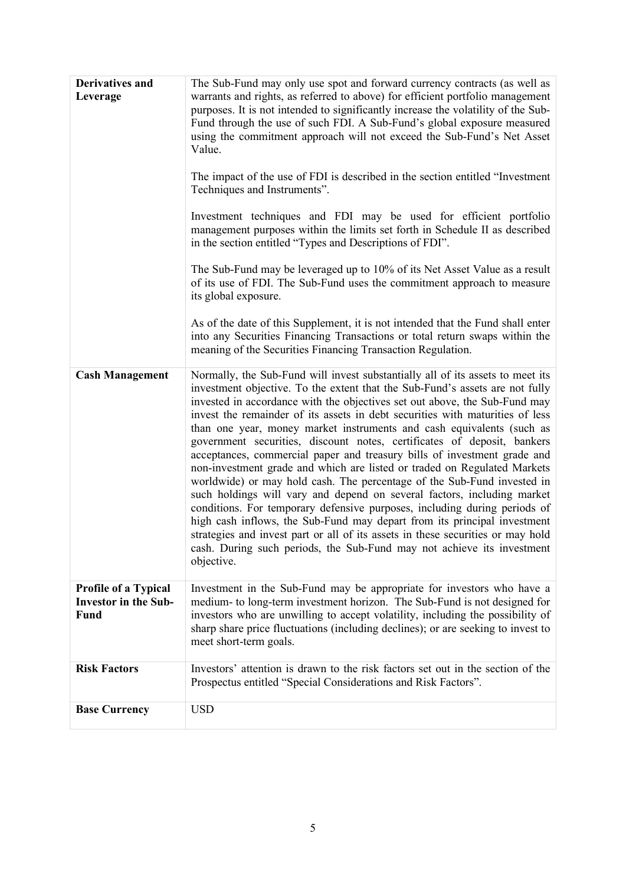| <b>Derivatives and</b><br>Leverage                                 | The Sub-Fund may only use spot and forward currency contracts (as well as<br>warrants and rights, as referred to above) for efficient portfolio management<br>purposes. It is not intended to significantly increase the volatility of the Sub-<br>Fund through the use of such FDI. A Sub-Fund's global exposure measured<br>using the commitment approach will not exceed the Sub-Fund's Net Asset<br>Value.<br>The impact of the use of FDI is described in the section entitled "Investment<br>Techniques and Instruments".<br>Investment techniques and FDI may be used for efficient portfolio<br>management purposes within the limits set forth in Schedule II as described<br>in the section entitled "Types and Descriptions of FDI".<br>The Sub-Fund may be leveraged up to 10% of its Net Asset Value as a result<br>of its use of FDI. The Sub-Fund uses the commitment approach to measure<br>its global exposure.<br>As of the date of this Supplement, it is not intended that the Fund shall enter<br>into any Securities Financing Transactions or total return swaps within the<br>meaning of the Securities Financing Transaction Regulation. |
|--------------------------------------------------------------------|-------------------------------------------------------------------------------------------------------------------------------------------------------------------------------------------------------------------------------------------------------------------------------------------------------------------------------------------------------------------------------------------------------------------------------------------------------------------------------------------------------------------------------------------------------------------------------------------------------------------------------------------------------------------------------------------------------------------------------------------------------------------------------------------------------------------------------------------------------------------------------------------------------------------------------------------------------------------------------------------------------------------------------------------------------------------------------------------------------------------------------------------------------------------|
| <b>Cash Management</b>                                             | Normally, the Sub-Fund will invest substantially all of its assets to meet its<br>investment objective. To the extent that the Sub-Fund's assets are not fully<br>invested in accordance with the objectives set out above, the Sub-Fund may<br>invest the remainder of its assets in debt securities with maturities of less<br>than one year, money market instruments and cash equivalents (such as<br>government securities, discount notes, certificates of deposit, bankers<br>acceptances, commercial paper and treasury bills of investment grade and<br>non-investment grade and which are listed or traded on Regulated Markets<br>worldwide) or may hold cash. The percentage of the Sub-Fund invested in<br>such holdings will vary and depend on several factors, including market<br>conditions. For temporary defensive purposes, including during periods of<br>high cash inflows, the Sub-Fund may depart from its principal investment<br>strategies and invest part or all of its assets in these securities or may hold<br>cash. During such periods, the Sub-Fund may not achieve its investment<br>objective.                               |
| <b>Profile of a Typical</b><br><b>Investor in the Sub-</b><br>Fund | Investment in the Sub-Fund may be appropriate for investors who have a<br>medium- to long-term investment horizon. The Sub-Fund is not designed for<br>investors who are unwilling to accept volatility, including the possibility of<br>sharp share price fluctuations (including declines); or are seeking to invest to<br>meet short-term goals.                                                                                                                                                                                                                                                                                                                                                                                                                                                                                                                                                                                                                                                                                                                                                                                                               |
| <b>Risk Factors</b>                                                | Investors' attention is drawn to the risk factors set out in the section of the<br>Prospectus entitled "Special Considerations and Risk Factors".                                                                                                                                                                                                                                                                                                                                                                                                                                                                                                                                                                                                                                                                                                                                                                                                                                                                                                                                                                                                                 |
| <b>Base Currency</b>                                               | <b>USD</b>                                                                                                                                                                                                                                                                                                                                                                                                                                                                                                                                                                                                                                                                                                                                                                                                                                                                                                                                                                                                                                                                                                                                                        |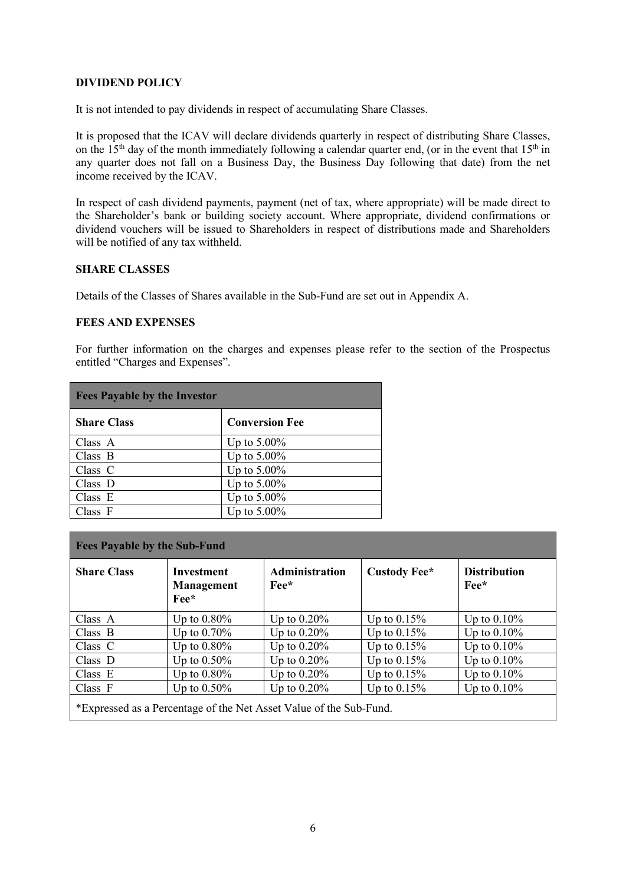#### **DIVIDEND POLICY**

It is not intended to pay dividends in respect of accumulating Share Classes.

It is proposed that the ICAV will declare dividends quarterly in respect of distributing Share Classes, on the  $15<sup>th</sup>$  day of the month immediately following a calendar quarter end, (or in the event that  $15<sup>th</sup>$  in any quarter does not fall on a Business Day, the Business Day following that date) from the net income received by the ICAV.

In respect of cash dividend payments, payment (net of tax, where appropriate) will be made direct to the Shareholder's bank or building society account. Where appropriate, dividend confirmations or dividend vouchers will be issued to Shareholders in respect of distributions made and Shareholders will be notified of any tax withheld.

#### **SHARE CLASSES**

Details of the Classes of Shares available in the Sub-Fund are set out in Appendix A.

## **FEES AND EXPENSES**

For further information on the charges and expenses please refer to the section of the Prospectus entitled "Charges and Expenses".

| <b>Fees Payable by the Investor</b> |                       |  |  |  |
|-------------------------------------|-----------------------|--|--|--|
| <b>Share Class</b>                  | <b>Conversion Fee</b> |  |  |  |
| Class A                             | Up to $5.00\%$        |  |  |  |
| Class B                             | Up to $5.00\%$        |  |  |  |
| Class $C$                           | Up to $5.00\%$        |  |  |  |
| Class D                             | Up to $5.00\%$        |  |  |  |
| Class $E$                           | Up to $5.00\%$        |  |  |  |
| Class F                             | Up to $5.00\%$        |  |  |  |

| <b>Fees Payable by the Sub-Fund</b>                                |                                                                  |                                               |                |                                             |  |
|--------------------------------------------------------------------|------------------------------------------------------------------|-----------------------------------------------|----------------|---------------------------------------------|--|
| <b>Share Class</b>                                                 | <b>Investment</b><br><b>Management</b><br>$\rm{Fe}$ <sup>*</sup> | <b>Administration</b><br>$\rm{Fe}$ e $\rm{*}$ | Custody Fee*   | <b>Distribution</b><br>$\rm{Fe}$ e $\rm{*}$ |  |
| Class A                                                            | Up to $0.80\%$                                                   | Up to $0.20\%$                                | Up to $0.15\%$ | Up to $0.10\%$                              |  |
| Class B                                                            | Up to $0.70\%$                                                   | Up to $0.20\%$                                | Up to $0.15\%$ | Up to $0.10\%$                              |  |
| Class $C$                                                          | Up to $0.80\%$                                                   | Up to $0.20\%$                                | Up to $0.15\%$ | Up to $0.10\%$                              |  |
| Class D                                                            | Up to $0.50\%$                                                   | Up to $0.20\%$                                | Up to $0.15\%$ | Up to $0.10\%$                              |  |
| Class E                                                            | Up to $0.80\%$                                                   | Up to $0.20\%$                                | Up to $0.15\%$ | Up to $0.10\%$                              |  |
| Class F                                                            | Up to $0.50\%$                                                   | Up to $0.20\%$                                | Up to $0.15\%$ | Up to $0.10\%$                              |  |
| *Expressed as a Percentage of the Net Asset Value of the Sub-Fund. |                                                                  |                                               |                |                                             |  |